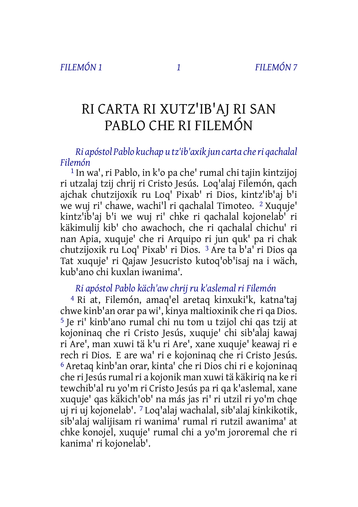# RI CARTA RI XUTZ'IB'AJ RI SAN PABLO CHE RI FILEMÓN

*Ri apóstol Pablo kuchap u tz'ib'axik jun carta cheri qachalal Filemón*

1 In wa', ri Pablo, in k'o pa che' rumal chi tajin kintzijoj ri utzalaj tzij chrij ri Cristo Jesús. Loq'alaj Filemón, qach ajchak chutzijoxik ru Loq' Pixab' ri Dios, kintz'ib'aj b'i we wuj ri' chawe, wachi'l ri qachalal Timoteo. 2 Xuquje' kintz'ib'aj b'i we wuj ri' chke ri qachalal kojonelab' ri käkimulij kib' cho awachoch, che ri qachalal chichu' ri nan Apia, xuquje' che ri Arquipo ri jun quk' pa ri chak chutzijoxik ru Loq' Pixab' ri Dios. 3 Are ta b'a' ri Dios qa Tat xuquje' ri Qajaw Jesucristo kutoq'ob'isaj na i wäch, kub'ano chi kuxlan iwanima'.

# *Ri apóstol Pablo käch'aw chrij ru k'aslemal ri Filemón*

4 Ri at, Filemón, amaq'el aretaq kinxuki'k, katna'taj chwe kinb'an orar pa wi', kinya maltioxinik che ri qa Dios. 5 Je ri' kinb'ano rumal chi nu tom u tzijol chi qas tzij at kojoninaq che ri Cristo Jesús, xuquje' chi sib'alaj kawaj ri Are', man xuwi tä k'u ri Are', xane xuquje' keawaj ri e rech ri Dios. E are wa' ri e kojoninaq che ri Cristo Jesús. 6 Aretaq kinb'an orar, kinta' che ri Dios chi ri e kojoninaq che ri Jesús rumal ri a kojonik man xuwi tä käkiriq na ke ri tewchib'al ru yo'm ri Cristo Jesús pa ri qa k'aslemal, xane xuquje' qas käkich'ob' na más jas ri' ri utzil ri yo'm chqe uj ri uj kojonelab'. 7 Loq'alaj wachalal, sib'alaj kinkikotik, sib'alaj walijisam ri wanima' rumal ri rutzil awanima' at chke konojel, xuquje' rumal chi a yo'm jororemal che ri kanima' ri kojonelab'.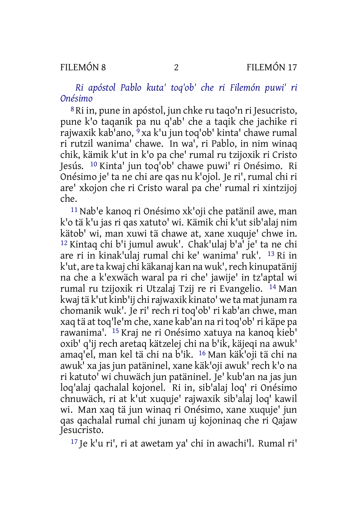*Ri apóstol Pablo kuta' toq'ob' che ri Filemón puwi' ri Onésimo*

8 Ri in, pune in apóstol, jun chke ru taqo'n ri Jesucristo, pune k'o taqanik pa nu q'ab' che a taqik che jachike ri rajwaxik kab'ano, 9 xa k'u jun toq'ob' kinta' chawe rumal ri rutzil wanima' chawe. In wa', ri Pablo, in nim winaq chik, kämik k'ut in k'o pa che' rumal ru tzijoxik ri Cristo Jesús. 10 Kinta' jun toq'ob' chawe puwi' ri Onésimo. Ri Onésimo je' ta ne chi are qas nu k'ojol. Je ri', rumal chi ri are' xkojon che ri Cristo waral pa che' rumal ri xintzijoj che.

11 Nab'e kanoq ri Onésimo xk'oji che patänil awe, man k'o tä k'u jas ri qas xatuto' wi. Kämik chi k'ut sib'alaj nim kätob' wi, man xuwi tä chawe at, xane xuquje' chwe in. 12 Kintaq chi b'i jumul awuk'. Chak'ulaj b'a' je' ta ne chi are ri in kinak'ulaj rumal chi ke' wanima' ruk'. 13 Ri in k'ut, are ta kwaj chi käkanaj kan na wuk',rech kinupatänij na che a k'exwäch waral pa ri che' jawije' in tz'aptal wi rumal ru tzijoxik ri Utzalaj Tzij re ri Evangelio. 14 Man kwaj tä k'ut kinb'ij chi rajwaxik kinato' we ta mat junam ra chomanik wuk'. Je ri' rech ri toq'ob' ri kab'an chwe, man xaq tä at toq'le'm che, xane kab'an na ri toq'ob'ri käpe pa rawanima'. 15 Kraj ne ri Onésimo xatuya na kanoq kieb' oxib' q'ij rech aretaq kätzelej chi na b'ik, käjeqi na awuk' amaq'el, man kel tä chi na b'ik. 16 Man käk'oji tä chi na awuk' xa jas jun patäninel, xane käk'oji awuk' rech k'o na ri katuto' wi chuwäch jun patäninel. Je' kub'an na jas jun loq'alaj qachalal kojonel. Ri in, sib'alaj loq' ri Onésimo chnuwäch, ri at k'ut xuquje' rajwaxik sib'alaj loq' kawil wi. Man xaq tä jun winaq ri Onésimo, xane xuquje' jun qas qachalal rumal chi junam uj kojoninaq che ri Qajaw Jesucristo.

17 Je k'u ri', ri at awetam ya' chi in awachi'l. Rumal ri'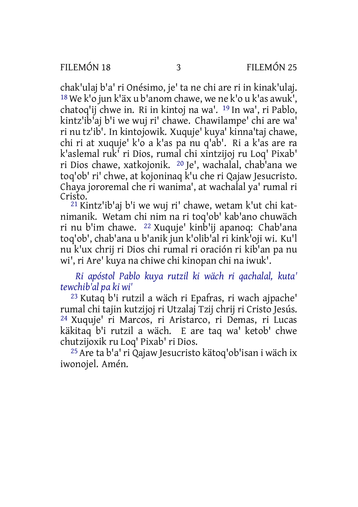chak'ulaj b'a' ri Onésimo, je' ta ne chi are ri in kinak'ulaj. 18 We k'o jun k'äx u b'anom chawe, we ne k'o u k'as awuk', chatoq'ij chwe in. Ri in kintoj na wa'. 19 In wa', ri Pablo, kintz'ib'aj b'i we wuj ri' chawe. Chawilampe' chi are wa' ri nu tz'ib'. In kintojowik. Xuquje' kuya' kinna'taj chawe, chi ri at xuquje' k'o a k'as pa nu q'ab'. Ri a k'as are ra k'aslemal ruk' ri Dios, rumal chi xintzijoj ru Loq' Pixab' ri Dios chawe, xatkojonik. 20 Je', wachalal, chab'ana we toq'ob' ri' chwe, at kojoninaq k'u che ri Qajaw Jesucristo. Chaya jororemal che ri wanima', at wachalal ya' rumal ri Cristo.

21 Kintz'ib'aj b'i we wuj ri' chawe, wetam k'ut chi katnimanik. Wetam chi nim na ri toq'ob' kab'ano chuwäch ri nu b'im chawe. 22 Xuquje' kinb'ij apanoq: Chab'ana toq'ob', chab'ana u b'anik jun k'olib'al ri kink'oji wi. Ku'l nu k'ux chrij ri Dios chi rumal ri oración ri kib'an pa nu wi', ri Are' kuya na chiwe chi kinopan chi na iwuk'.

*Ri apóstol Pablo kuya rutzil ki wäch ri qachalal, kuta' tewchib'al pa ki wi'*

23 Kutaq b'i rutzil a wäch ri Epafras, ri wach ajpache' rumal chi tajin kutzijoj ri Utzalaj Tzij chrij ri Cristo Jesús. 24 Xuquje' ri Marcos, ri Aristarco, ri Demas, ri Lucas käkitaq b'i rutzil a wäch. E are taq wa' ketob' chwe chutzijoxik ru Loq' Pixab' ri Dios.

25 Are ta b'a' ri Qajaw Jesucristo kätoq'ob'isan i wäch ix iwonojel. Amén.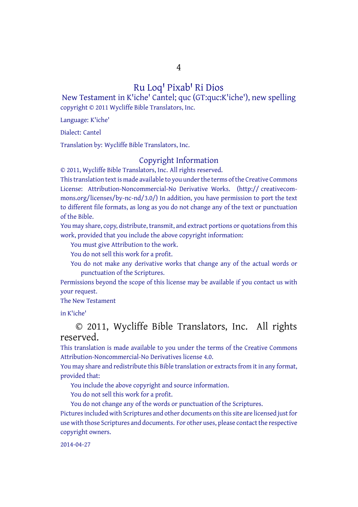4

### Ru Loq<sup>1</sup> Pixab<sup>1</sup> Ri Dios

New Testament in K'iche' Cantel; quc (GT:quc:K'iche'), new spelling copyright © 2011 Wycliffe Bible Translators, Inc.

Language: K'iche'

Dialect: Cantel

Translation by: Wycliffe Bible Translators, Inc.

#### Copyright Information

© 2011, Wycliffe Bible Translators, Inc. All rights reserved.

This translation text is made available to you under the terms of the Creative [Commons](http://creativecommons.org/licenses/by-nc-nd/4.0/) License: [Attribution-Noncommercial-No](http://creativecommons.org/licenses/by-nc-nd/4.0/) Derivative Works. (http:// creativecommons.org/licenses/by-nc-nd/3.0/) In addition, you have permission to port the text to different file formats, as long as you do not change any of the text or punctuation of the Bible.

You may share, copy, distribute, transmit, and extract portions or quotations from this work, provided that you include the above copyright information:

You must give Attribution to the work.

You do not sell this work for a profit.

You do not make any derivative works that change any of the actual words or punctuation of the Scriptures.

Permissions beyond the scope of this license may be available if you contact us with your request.

The New Testament

in K'iche'

## © 2011, Wycliffe Bible Translators, Inc. All rights reserved.

This translation is made available to you under the terms of the Creative Commons Attribution-Noncommercial-No Derivatives license 4.0.

You may share and redistribute this Bible translation or extracts from it in any format, provided that:

You include the above copyright and source information.

You do not sell this work for a profit.

You do not change any of the words or punctuation of the Scriptures.

Pictures included with Scriptures and other documents on this site are licensed just for use with those Scriptures and documents. For other uses, please contact the respective copyright owners.

2014-04-27